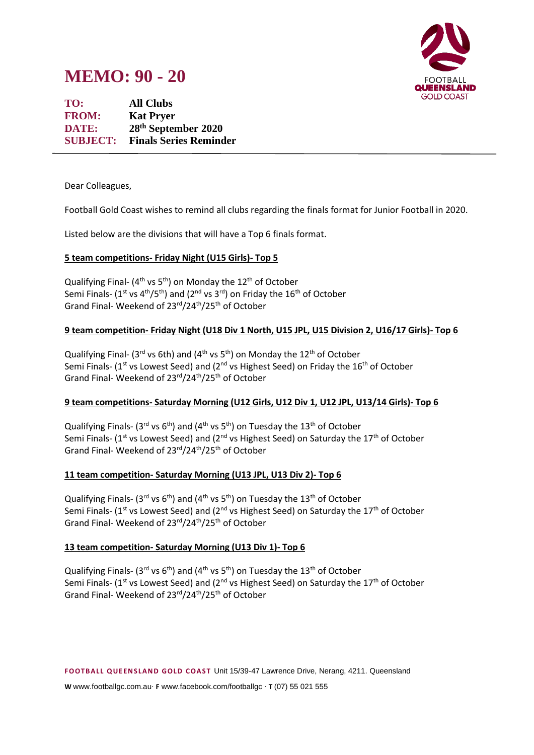

# **MEMO: 90 - 20**

**TO: All Clubs FROM: Kat Pryer DATE: 28 th September 2020 SUBJECT: Finals Series Reminder**

Dear Colleagues,

Football Gold Coast wishes to remind all clubs regarding the finals format for Junior Football in 2020.

Listed below are the divisions that will have a Top 6 finals format.

# **5 team competitions- Friday Night (U15 Girls)- Top 5**

Qualifying Final- (4<sup>th</sup> vs 5<sup>th</sup>) on Monday the 12<sup>th</sup> of October Semi Finals- (1<sup>st</sup> vs 4<sup>th</sup>/5<sup>th</sup>) and (2<sup>nd</sup> vs 3<sup>rd</sup>) on Friday the 16<sup>th</sup> of October Grand Final- Weekend of 23rd/24th/25th of October

# **9 team competition- Friday Night (U18 Div 1 North, U15 JPL, U15 Division 2, U16/17 Girls)- Top 6**

Qualifying Final- (3<sup>rd</sup> vs 6th) and (4<sup>th</sup> vs 5<sup>th</sup>) on Monday the 12<sup>th</sup> of October Semi Finals- (1<sup>st</sup> vs Lowest Seed) and (2<sup>nd</sup> vs Highest Seed) on Friday the 16<sup>th</sup> of October Grand Final- Weekend of 23rd/24th/25th of October

### **9 team competitions- Saturday Morning (U12 Girls, U12 Div 1, U12 JPL, U13/14 Girls)- Top 6**

Qualifying Finals- (3<sup>rd</sup> vs 6<sup>th</sup>) and (4<sup>th</sup> vs 5<sup>th</sup>) on Tuesday the 13<sup>th</sup> of October Semi Finals- ( $1<sup>st</sup>$  vs Lowest Seed) and ( $2<sup>nd</sup>$  vs Highest Seed) on Saturday the  $17<sup>th</sup>$  of October Grand Final- Weekend of 23rd/24th/25th of October

### **11 team competition- Saturday Morning (U13 JPL, U13 Div 2)- Top 6**

Qualifying Finals- (3<sup>rd</sup> vs 6<sup>th</sup>) and (4<sup>th</sup> vs 5<sup>th</sup>) on Tuesday the 13<sup>th</sup> of October Semi Finals- ( $1<sup>st</sup>$  vs Lowest Seed) and ( $2<sup>nd</sup>$  vs Highest Seed) on Saturday the  $17<sup>th</sup>$  of October Grand Final- Weekend of 23<sup>rd</sup>/24<sup>th</sup>/25<sup>th</sup> of October

### **13 team competition- Saturday Morning (U13 Div 1)- Top 6**

Qualifying Finals- (3<sup>rd</sup> vs 6<sup>th</sup>) and (4<sup>th</sup> vs 5<sup>th</sup>) on Tuesday the 13<sup>th</sup> of October Semi Finals- ( $1^{st}$  vs Lowest Seed) and ( $2^{nd}$  vs Highest Seed) on Saturday the  $17^{th}$  of October Grand Final- Weekend of 23rd/24th/25th of October

**F OOTB ALL Q UE EN S LAN D GOLD C OAS T** Unit 15/39-47 Lawrence Drive, Nerang, 4211. Queensland

**W** www.footballgc.com.au. **F** www.facebook.com/footballgc . **T** (07) 55 021 555